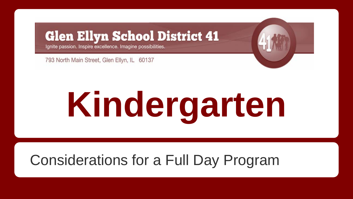#### **Glen Ellyn School District 41**

Ignite passion. Inspire excellence. Imagine possibilities.

793 North Main Street, Glen Ellyn, IL 60137

# **Kindergarten**

#### Considerations for a Full Day Program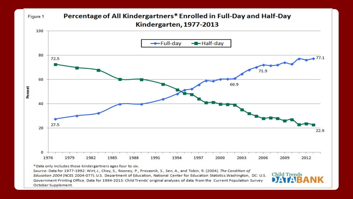

Education 2004 (NCES 2004-077). U.S. Department of Education, National Center for Education Statistics. Washington, DC: U.S. Government Printing Office. Data for 1994-2013: Child Trends' original analyses of data from the Current Population Survey October Supplement.

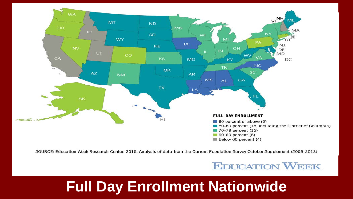

SOURCE: Education Week Research Center, 2015. Analysis of data from the Current Population Survey October Supplement (2009-2013)

**EDUCATION WEEK** 

#### **Full Day Enrollment Nationwide**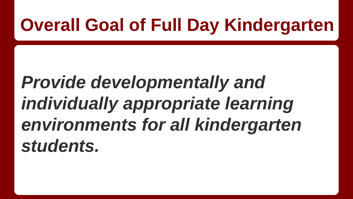### **Overall Goal of Full Day Kindergarten**

## *Provide developmentally and individually appropriate learning environments for all kindergarten students.*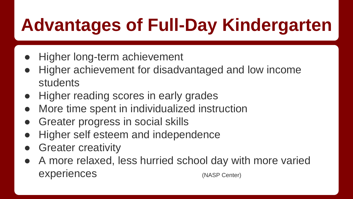## **Advantages of Full-Day Kindergarten**

- Higher long-term achievement
- Higher achievement for disadvantaged and low income students
- Higher reading scores in early grades
- More time spent in individualized instruction
- Greater progress in social skills
- Higher self esteem and independence
- **Greater creativity**
- A more relaxed, less hurried school day with more varied experiences (NASP Center)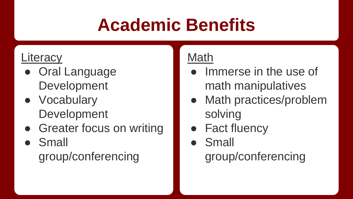## **Academic Benefits**

#### Literacy

- Oral Language Development
- Vocabulary Development
- Greater focus on writing
- **Small** group/conferencing

#### Math

- Immerse in the use of math manipulatives
- Math practices/problem solving
- Fact fluency
- Small group/conferencing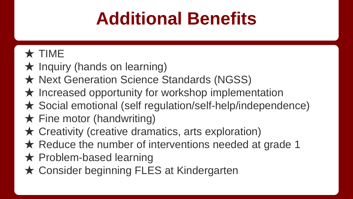## **Additional Benefits**

#### ★ TIME

- $\star$  Inquiry (hands on learning)
- ★ Next Generation Science Standards (NGSS)
- $\star$  Increased opportunity for workshop implementation
- ★ Social emotional (self regulation/self-help/independence)
- $\bigstar$  Fine motor (handwriting)
- $\star$  Creativity (creative dramatics, arts exploration)
- $\star$  Reduce the number of interventions needed at grade 1
- **★ Problem-based learning**
- **★ Consider beginning FLES at Kindergarten**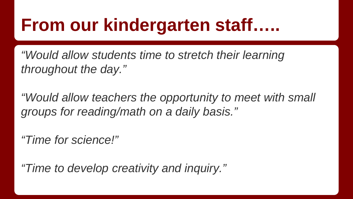### **From our kindergarten staff…..**

*"Would allow students time to stretch their learning throughout the day."*

*"Would allow teachers the opportunity to meet with small groups for reading/math on a daily basis."*

*"Time for science!"*

*"Time to develop creativity and inquiry."*